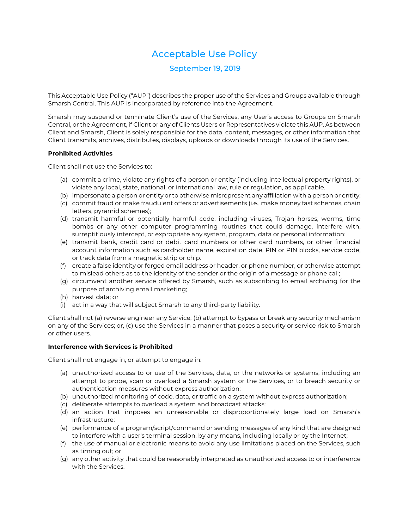# Acceptable Use Policy

# September 19, 2019

This Acceptable Use Policy ("AUP") describes the proper use of the Services and Groups available through Smarsh Central. This AUP is incorporated by reference into the Agreement.

Smarsh may suspend or terminate Client's use of the Services, any User's access to Groups on Smarsh Central, or the Agreement, if Client or any of Clients Users or Representatives violate this AUP. As between Client and Smarsh, Client is solely responsible for the data, content, messages, or other information that Client transmits, archives, distributes, displays, uploads or downloads through its use of the Services.

## **Prohibited Activities**

Client shall not use the Services to:

- (a) commit a crime, violate any rights of a person or entity (including intellectual property rights), or violate any local, state, national, or international law, rule or regulation, as applicable.
- (b) impersonate a person or entity or to otherwise misrepresent any affiliation with a person or entity;
- (c) commit fraud or make fraudulent offers or advertisements (i.e., make money fast schemes, chain letters, pyramid schemes);
- (d) transmit harmful or potentially harmful code, including viruses, Trojan horses, worms, time bombs or any other computer programming routines that could damage, interfere with, surreptitiously intercept, or expropriate any system, program, data or personal information;
- (e) transmit bank, credit card or debit card numbers or other card numbers, or other financial account information such as cardholder name, expiration date, PIN or PIN blocks, service code, or track data from a magnetic strip or chip.
- (f) create a false identity or forged email address or header, or phone number, or otherwise attempt to mislead others as to the identity of the sender or the origin of a message or phone call;
- (g) circumvent another service offered by Smarsh, such as subscribing to email archiving for the purpose of archiving email marketing;
- (h) harvest data; or
- (i) act in a way that will subject Smarsh to any third-party liability.

Client shall not (a) reverse engineer any Service; (b) attempt to bypass or break any security mechanism on any of the Services; or, (c) use the Services in a manner that poses a security or service risk to Smarsh or other users.

## **Interference with Services is Prohibited**

Client shall not engage in, or attempt to engage in:

- (a) unauthorized access to or use of the Services, data, or the networks or systems, including an attempt to probe, scan or overload a Smarsh system or the Services, or to breach security or authentication measures without express authorization;
- (b) unauthorized monitoring of code, data, or traffic on a system without express authorization;
- (c) deliberate attempts to overload a system and broadcast attacks;
- (d) an action that imposes an unreasonable or disproportionately large load on Smarsh's infrastructure;
- (e) performance of a program/script/command or sending messages of any kind that are designed to interfere with a user's terminal session, by any means, including locally or by the Internet;
- (f) the use of manual or electronic means to avoid any use limitations placed on the Services, such as timing out; or
- (g) any other activity that could be reasonably interpreted as unauthorized access to or interference with the Services.